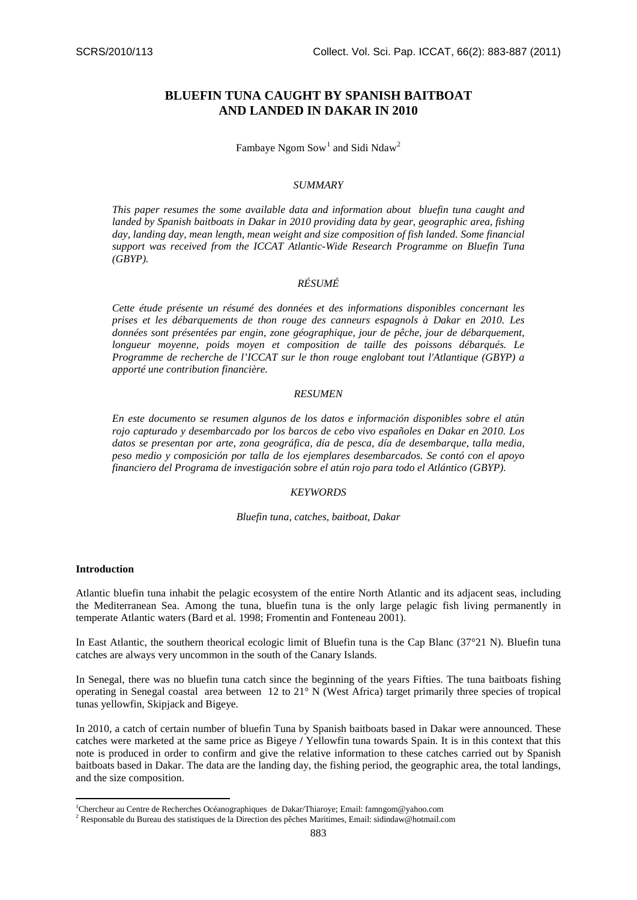# **BLUEFIN TUNA CAUGHT BY SPANISH BAITBOAT AND LANDED IN DAKAR IN 2010**

## Fambaye Ngom Sow<sup>[1](#page-0-0)</sup> and Sidi Ndaw<sup>[2](#page-0-1)</sup>

## *SUMMARY*

*This paper resumes the some available data and information about bluefin tuna caught and landed by Spanish baitboats in Dakar in 2010 providing data by gear, geographic area, fishing day, landing day, mean length, mean weight and size composition of fish landed. Some financial support was received from the ICCAT Atlantic-Wide Research Programme on Bluefin Tuna (GBYP).*

## *RÉSUMÉ*

*Cette étude présente un résumé des données et des informations disponibles concernant les prises et les débarquements de thon rouge des canneurs espagnols à Dakar en 2010. Les données sont présentées par engin, zone géographique, jour de pêche, jour de débarquement, longueur moyenne, poids moyen et composition de taille des poissons débarqués. Le Programme de recherche de l'ICCAT sur le thon rouge englobant tout l'Atlantique (GBYP) a apporté une contribution financière.*

## *RESUMEN*

*En este documento se resumen algunos de los datos e información disponibles sobre el atún rojo capturado y desembarcado por los barcos de cebo vivo españoles en Dakar en 2010. Los datos se presentan por arte, zona geográfica, día de pesca, día de desembarque, talla media, peso medio y composición por talla de los ejemplares desembarcados. Se contó con el apoyo financiero del Programa de investigación sobre el atún rojo para todo el Atlántico (GBYP).*

### *KEYWORDS*

*Bluefin tuna, catches, baitboat, Dakar*

#### **Introduction**

.<br>-

Atlantic bluefin tuna inhabit the pelagic ecosystem of the entire North Atlantic and its adjacent seas, including the Mediterranean Sea. Among the tuna, bluefin tuna is the only large pelagic fish living permanently in temperate Atlantic waters (Bard et al. 1998; Fromentin and Fonteneau 2001).

In East Atlantic, the southern theorical ecologic limit of Bluefin tuna is the Cap Blanc (37°21 N). Bluefin tuna catches are always very uncommon in the south of the Canary Islands.

In Senegal, there was no bluefin tuna catch since the beginning of the years Fifties. The tuna baitboats fishing operating in Senegal coastal area between 12 to 21° N (West Africa) target primarily three species of tropical tunas yellowfin, Skipjack and Bigeye.

In 2010, a catch of certain number of bluefin Tuna by Spanish baitboats based in Dakar were announced. These catches were marketed at the same price as Bigeye **/** Yellowfin tuna towards Spain. It is in this context that this note is produced in order to confirm and give the relative information to these catches carried out by Spanish baitboats based in Dakar. The data are the landing day, the fishing period, the geographic area, the total landings, and the size composition.

<span id="page-0-0"></span><sup>&</sup>lt;sup>1</sup>Chercheur au Centre de Recherches Océanographiques de Dakar/Thiaroye; Email: famngom@yahoo.com

<span id="page-0-1"></span><sup>&</sup>lt;sup>2</sup> Responsable du Bureau des statistiques de la Direction des pêches Maritimes, Email: sidindaw@hotmail.com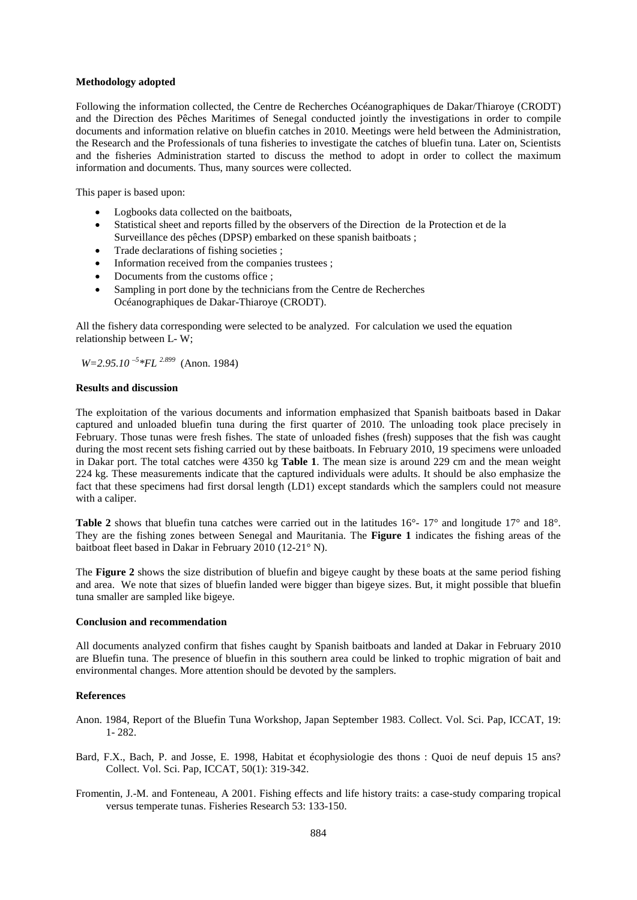### **Methodology adopted**

Following the information collected, the Centre de Recherches Océanographiques de Dakar/Thiaroye (CRODT) and the Direction des Pêches Maritimes of Senegal conducted jointly the investigations in order to compile documents and information relative on bluefin catches in 2010. Meetings were held between the Administration, the Research and the Professionals of tuna fisheries to investigate the catches of bluefin tuna. Later on, Scientists and the fisheries Administration started to discuss the method to adopt in order to collect the maximum information and documents. Thus, many sources were collected.

This paper is based upon:

- Logbooks data collected on the baitboats,
- Statistical sheet and reports filled by the observers of the Direction de la Protection et de la Surveillance des pêches (DPSP) embarked on these spanish baitboats ;
- Trade declarations of fishing societies ;
- Information received from the companies trustees ;
- Documents from the customs office ;
- Sampling in port done by the technicians from the Centre de Recherches Océanographiques de Dakar-Thiaroye (CRODT).

All the fishery data corresponding were selected to be analyzed. For calculation we used the equation relationship between L- W;

*W=2.95.10 –5 \*FL 2.899* (Anon. 1984)

### **Results and discussion**

The exploitation of the various documents and information emphasized that Spanish baitboats based in Dakar captured and unloaded bluefin tuna during the first quarter of 2010. The unloading took place precisely in February. Those tunas were fresh fishes. The state of unloaded fishes (fresh) supposes that the fish was caught during the most recent sets fishing carried out by these baitboats. In February 2010, 19 specimens were unloaded in Dakar port. The total catches were 4350 kg **Table 1**. The mean size is around 229 cm and the mean weight 224 kg. These measurements indicate that the captured individuals were adults. It should be also emphasize the fact that these specimens had first dorsal length (LD1) except standards which the samplers could not measure with a caliper.

**Table 2** shows that bluefin tuna catches were carried out in the latitudes  $16^{\circ}$ - 17° and longitude 17° and 18°. They are the fishing zones between Senegal and Mauritania. The **Figure 1** indicates the fishing areas of the baitboat fleet based in Dakar in February 2010 (12-21° N).

The **Figure 2** shows the size distribution of bluefin and bigeye caught by these boats at the same period fishing and area. We note that sizes of bluefin landed were bigger than bigeye sizes. But, it might possible that bluefin tuna smaller are sampled like bigeye.

## **Conclusion and recommendation**

All documents analyzed confirm that fishes caught by Spanish baitboats and landed at Dakar in February 2010 are Bluefin tuna. The presence of bluefin in this southern area could be linked to trophic migration of bait and environmental changes. More attention should be devoted by the samplers.

### **References**

- Anon. 1984, Report of the Bluefin Tuna Workshop, Japan September 1983. Collect. Vol. Sci. Pap, ICCAT, 19: 1- 282.
- Bard, F.X., Bach, P. and Josse, E. 1998, Habitat et écophysiologie des thons : Quoi de neuf depuis 15 ans? Collect. Vol. Sci. Pap, ICCAT, 50(1): 319-342.
- Fromentin, J.-M. and Fonteneau, A 2001. Fishing effects and life history traits: a case-study comparing tropical versus temperate tunas. Fisheries Research 53: 133-150.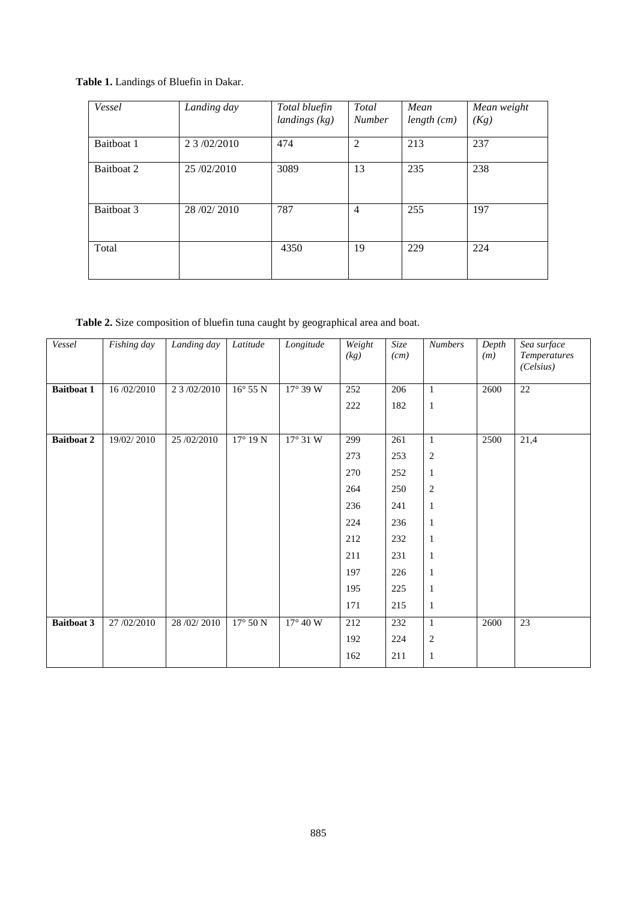| Table 1. Landings of Bluefin in Dakar. |
|----------------------------------------|
|----------------------------------------|

| Vessel     | Landing day  | Total bluefin<br>landings (kg) | Total<br><b>Number</b> | Mean<br>length (cm) | Mean weight<br>(Kg) |
|------------|--------------|--------------------------------|------------------------|---------------------|---------------------|
| Baitboat 1 | 2 3 /02/2010 | 474                            | $\overline{2}$         | 213                 | 237                 |
| Baitboat 2 | 25/02/2010   | 3089                           | 13                     | 235                 | 238                 |
| Baitboat 3 | 28/02/2010   | 787                            | $\overline{4}$         | 255                 | 197                 |
| Total      |              | 4350                           | 19                     | 229                 | 224                 |

**Table 2.** Size composition of bluefin tuna caught by geographical area and boat.

| Vessel            | Fishing day | Landing day  | Latitude          | Longitude         | Weight<br>(kg) | Size<br>(cm) | <b>Numbers</b> | Depth<br>(m) | Sea surface<br>Temperatures<br>(Celsius) |
|-------------------|-------------|--------------|-------------------|-------------------|----------------|--------------|----------------|--------------|------------------------------------------|
| <b>Baitboat 1</b> | 16/02/2010  | 2 3 /02/2010 | $16^{\circ}$ 55 N | 17° 39 W          | 252            | 206          | $\mathbf{1}$   | 2600         | $\overline{22}$                          |
|                   |             |              |                   |                   | 222            | 182          | $\mathbf{1}$   |              |                                          |
|                   |             |              |                   |                   |                |              |                |              |                                          |
| <b>Baitboat 2</b> | 19/02/2010  | 25/02/2010   | $17^{\circ}$ 19 N | $17^\circ 31 W$   | 299            | 261          | $\mathbf{1}$   | 2500         | 21,4                                     |
|                   |             |              |                   |                   | 273            | 253          | $\overline{c}$ |              |                                          |
|                   |             |              |                   |                   | 270            | 252          | $\mathbf{1}$   |              |                                          |
|                   |             |              |                   |                   | 264            | 250          | $\sqrt{2}$     |              |                                          |
|                   |             |              |                   |                   | 236            | 241          | $\mathbf{1}$   |              |                                          |
|                   |             |              |                   |                   | 224            | 236          | $\mathbf{1}$   |              |                                          |
|                   |             |              |                   |                   | 212            | 232          | $\mathbf{1}$   |              |                                          |
|                   |             |              |                   |                   | 211            | 231          | $\mathbf{1}$   |              |                                          |
|                   |             |              |                   |                   | 197            | 226          | $\mathbf{1}$   |              |                                          |
|                   |             |              |                   |                   | 195            | 225          | $\mathbf{1}$   |              |                                          |
|                   |             |              |                   |                   | 171            | 215          | $\mathbf{1}$   |              |                                          |
| <b>Baitboat 3</b> | 27/02/2010  | 28 /02/ 2010 | $17^\circ 50$ N   | $17^{\circ}$ 40 W | 212            | 232          | $\mathbf{1}$   | 2600         | $\overline{23}$                          |
|                   |             |              |                   |                   | 192            | 224          | $\overline{c}$ |              |                                          |
|                   |             |              |                   |                   | 162            | 211          | $\mathbf{1}$   |              |                                          |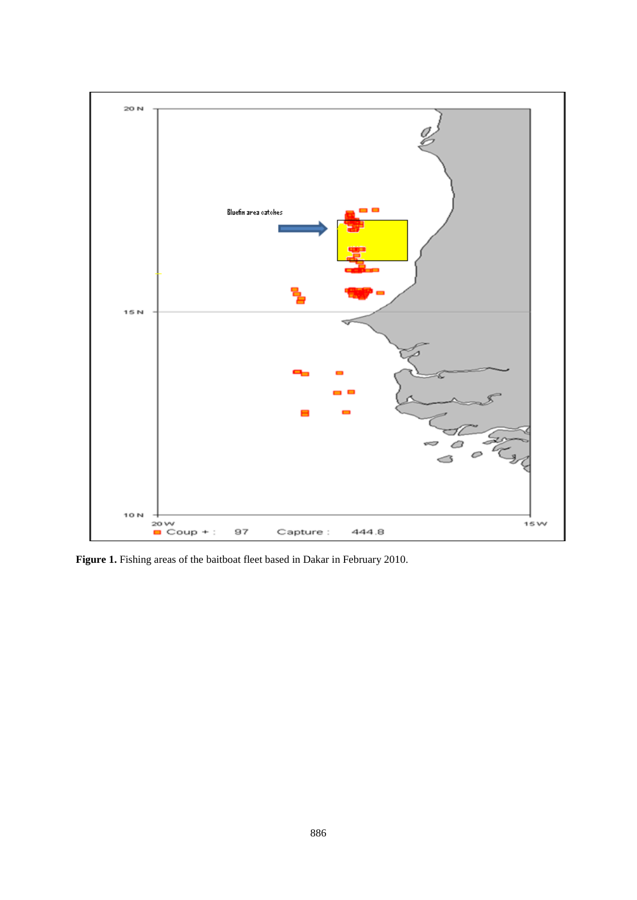

Figure 1. Fishing areas of the baitboat fleet based in Dakar in February 2010.